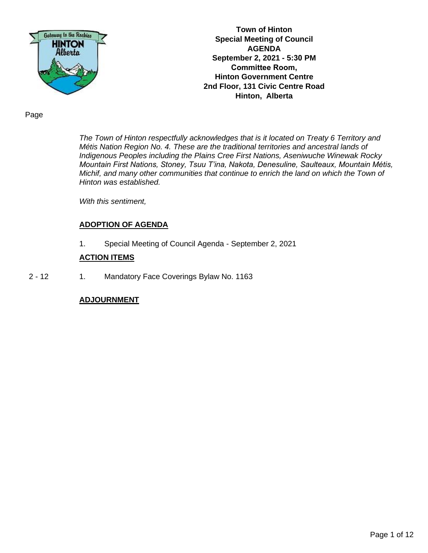

**Town of Hinton Special Meeting of Council AGENDA September 2, 2021 - 5:30 PM Committee Room, Hinton Government Centre 2nd Floor, 131 Civic Centre Road Hinton, Alberta**

Page

*The Town of Hinton respectfully acknowledges that is it located on Treaty 6 Territory and Métis Nation Region No. 4. These are the traditional territories and ancestral lands of Indigenous Peoples including the Plains Cree First Nations, Aseniwuche Winewak Rocky Mountain First Nations, Stoney, Tsuu T'ina, Nakota, Denesuline, Saulteaux, Mountain Métis, Michif, and many other communities that continue to enrich the land on which the Town of Hinton was established.* 

*With this sentiment,* 

## **ADOPTION OF AGENDA**

1. Special Meeting of Council Agenda - September 2, 2021

#### **ACTION ITEMS**

2 - 12 1. Mandatory Face Coverings Bylaw No. 1163

## **ADJOURNMENT**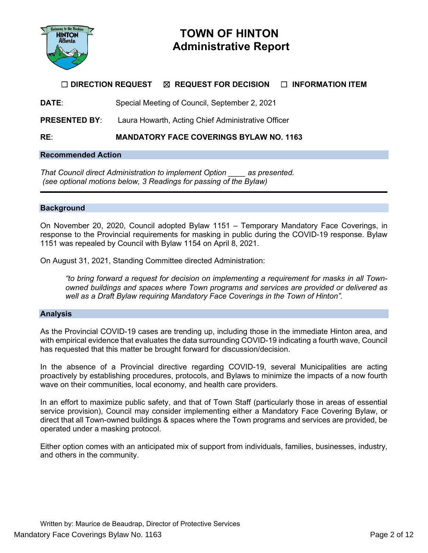

# **TOWN OF HINTON Administrative Report**

## ☐ **DIRECTION REQUEST** ☒ **REQUEST FOR DECISION** ☐ **INFORMATION ITEM**

**DATE**: Special Meeting of Council, September 2, 2021

**PRESENTED BY:** Laura Howarth, Acting Chief Administrative Officer

**RE**: **MANDATORY FACE COVERINGS BYLAW NO. 1163**

#### **Recommended Action**

*That Council direct Administration to implement Option \_\_\_\_ as presented. (see optional motions below, 3 Readings for passing of the Bylaw)* 

## **Background**

On November 20, 2020, Council adopted Bylaw 1151 – Temporary Mandatory Face Coverings, in response to the Provincial requirements for masking in public during the COVID-19 response. Bylaw 1151 was repealed by Council with Bylaw 1154 on April 8, 2021.

On August 31, 2021, Standing Committee directed Administration:

*"to bring forward a request for decision on implementing a requirement for masks in all Townowned buildings and spaces where Town programs and services are provided or delivered as well as a Draft Bylaw requiring Mandatory Face Coverings in the Town of Hinton".* 

#### **Analysis**

As the Provincial COVID-19 cases are trending up, including those in the immediate Hinton area, and with empirical evidence that evaluates the data surrounding COVID-19 indicating a fourth wave, Council has requested that this matter be brought forward for discussion/decision.

In the absence of a Provincial directive regarding COVID-19, several Municipalities are acting proactively by establishing procedures, protocols, and Bylaws to minimize the impacts of a now fourth wave on their communities, local economy, and health care providers.

In an effort to maximize public safety, and that of Town Staff (particularly those in areas of essential service provision), Council may consider implementing either a Mandatory Face Covering Bylaw, or direct that all Town-owned buildings & spaces where the Town programs and services are provided, be operated under a masking protocol.

Either option comes with an anticipated mix of support from individuals, families, businesses, industry, and others in the community.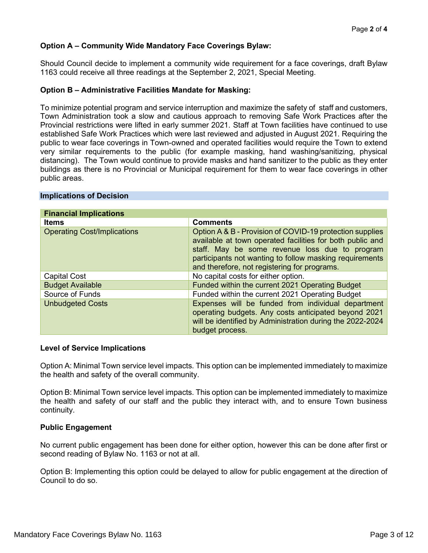## **Option A – Community Wide Mandatory Face Coverings Bylaw:**

Should Council decide to implement a community wide requirement for a face coverings, draft Bylaw 1163 could receive all three readings at the September 2, 2021, Special Meeting.

#### **Option B – Administrative Facilities Mandate for Masking:**

To minimize potential program and service interruption and maximize the safety of staff and customers, Town Administration took a slow and cautious approach to removing Safe Work Practices after the Provincial restrictions were lifted in early summer 2021. Staff at Town facilities have continued to use established Safe Work Practices which were last reviewed and adjusted in August 2021. Requiring the public to wear face coverings in Town-owned and operated facilities would require the Town to extend very similar requirements to the public (for example masking, hand washing/sanitizing, physical distancing). The Town would continue to provide masks and hand sanitizer to the public as they enter buildings as there is no Provincial or Municipal requirement for them to wear face coverings in other public areas.

| <b>Financial Implications</b>      |                                                                                                                                                                                                                                                                                    |  |  |
|------------------------------------|------------------------------------------------------------------------------------------------------------------------------------------------------------------------------------------------------------------------------------------------------------------------------------|--|--|
| <b>Items</b>                       | <b>Comments</b>                                                                                                                                                                                                                                                                    |  |  |
| <b>Operating Cost/Implications</b> | Option A & B - Provision of COVID-19 protection supplies<br>available at town operated facilities for both public and<br>staff. May be some revenue loss due to program<br>participants not wanting to follow masking requirements<br>and therefore, not registering for programs. |  |  |
| <b>Capital Cost</b>                | No capital costs for either option.                                                                                                                                                                                                                                                |  |  |
| <b>Budget Available</b>            | Funded within the current 2021 Operating Budget                                                                                                                                                                                                                                    |  |  |
| Source of Funds                    | Funded within the current 2021 Operating Budget                                                                                                                                                                                                                                    |  |  |
| <b>Unbudgeted Costs</b>            | Expenses will be funded from individual department<br>operating budgets. Any costs anticipated beyond 2021<br>will be identified by Administration during the 2022-2024<br>budget process.                                                                                         |  |  |

#### **Implications of Decision**

#### **Level of Service Implications**

Option A: Minimal Town service level impacts. This option can be implemented immediately to maximize the health and safety of the overall community.

Option B: Minimal Town service level impacts. This option can be implemented immediately to maximize the health and safety of our staff and the public they interact with, and to ensure Town business continuity.

#### **Public Engagement**

No current public engagement has been done for either option, however this can be done after first or second reading of Bylaw No. 1163 or not at all.

Option B: Implementing this option could be delayed to allow for public engagement at the direction of Council to do so.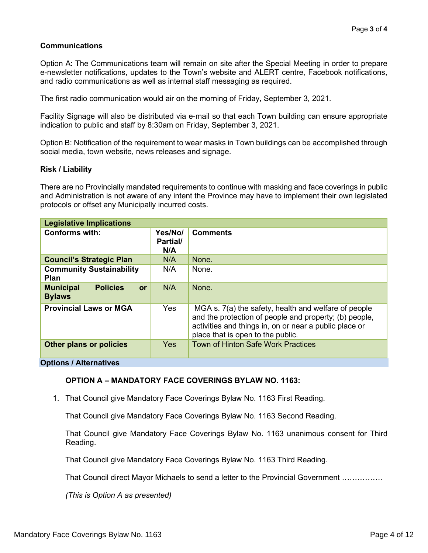## **Communications**

Option A: The Communications team will remain on site after the Special Meeting in order to prepare e-newsletter notifications, updates to the Town's website and ALERT centre, Facebook notifications, and radio communications as well as internal staff messaging as required.

The first radio communication would air on the morning of Friday, September 3, 2021.

Facility Signage will also be distributed via e-mail so that each Town building can ensure appropriate indication to public and staff by 8:30am on Friday, September 3, 2021.

Option B: Notification of the requirement to wear masks in Town buildings can be accomplished through social media, town website, news releases and signage.

## **Risk / Liability**

There are no Provincially mandated requirements to continue with masking and face coverings in public and Administration is not aware of any intent the Province may have to implement their own legislated protocols or offset any Municipally incurred costs.

| <b>Legislative Implications</b>                                                               |                            |                                                                                                                                                                                                               |  |  |  |
|-----------------------------------------------------------------------------------------------|----------------------------|---------------------------------------------------------------------------------------------------------------------------------------------------------------------------------------------------------------|--|--|--|
| <b>Conforms with:</b>                                                                         | Yes/No/<br>Partial/<br>N/A | <b>Comments</b>                                                                                                                                                                                               |  |  |  |
| <b>Council's Strategic Plan</b>                                                               | N/A                        | None.                                                                                                                                                                                                         |  |  |  |
| <b>Community Sustainability</b><br><b>Plan</b>                                                | N/A                        | None.                                                                                                                                                                                                         |  |  |  |
| <b>Municipal</b><br><b>Policies</b><br><b>or</b><br><b>Bylaws</b>                             | N/A                        | None.                                                                                                                                                                                                         |  |  |  |
| <b>Provincial Laws or MGA</b>                                                                 | Yes                        | MGA s. 7(a) the safety, health and welfare of people<br>and the protection of people and property; (b) people,<br>activities and things in, on or near a public place or<br>place that is open to the public. |  |  |  |
| <b>Other plans or policies</b>                                                                | <b>Yes</b>                 | <b>Town of Hinton Safe Work Practices</b>                                                                                                                                                                     |  |  |  |
| $\bigcap_{x \in A} 1$ , $\bigcup_{x \in A} 1$ , $\bigcap_{x \in A} 1$ , $\bigcap_{x \in A} 1$ |                            |                                                                                                                                                                                                               |  |  |  |

**Options / Alternatives**

## **OPTION A – MANDATORY FACE COVERINGS BYLAW NO. 1163:**

1. That Council give Mandatory Face Coverings Bylaw No. 1163 First Reading.

That Council give Mandatory Face Coverings Bylaw No. 1163 Second Reading.

That Council give Mandatory Face Coverings Bylaw No. 1163 unanimous consent for Third Reading.

That Council give Mandatory Face Coverings Bylaw No. 1163 Third Reading.

That Council direct Mayor Michaels to send a letter to the Provincial Government …………….

*(This is Option A as presented)*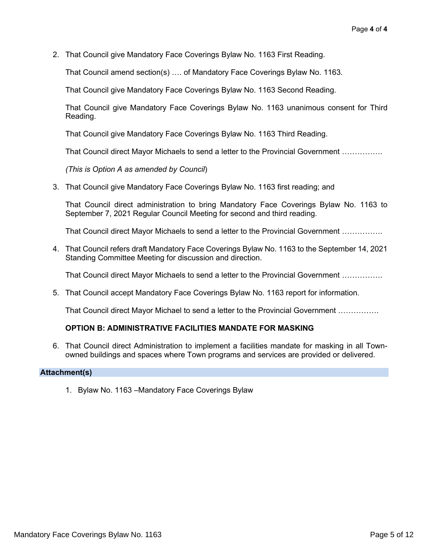2. That Council give Mandatory Face Coverings Bylaw No. 1163 First Reading.

That Council amend section(s) …. of Mandatory Face Coverings Bylaw No. 1163.

That Council give Mandatory Face Coverings Bylaw No. 1163 Second Reading.

That Council give Mandatory Face Coverings Bylaw No. 1163 unanimous consent for Third Reading.

That Council give Mandatory Face Coverings Bylaw No. 1163 Third Reading.

That Council direct Mayor Michaels to send a letter to the Provincial Government …………….

*(This is Option A as amended by Council*)

3. That Council give Mandatory Face Coverings Bylaw No. 1163 first reading; and

That Council direct administration to bring Mandatory Face Coverings Bylaw No. 1163 to September 7, 2021 Regular Council Meeting for second and third reading.

That Council direct Mayor Michaels to send a letter to the Provincial Government …………….

4. That Council refers draft Mandatory Face Coverings Bylaw No. 1163 to the September 14, 2021 Standing Committee Meeting for discussion and direction.

That Council direct Mayor Michaels to send a letter to the Provincial Government …………….

5. That Council accept Mandatory Face Coverings Bylaw No. 1163 report for information.

That Council direct Mayor Michael to send a letter to the Provincial Government …………….

## **OPTION B: ADMINISTRATIVE FACILITIES MANDATE FOR MASKING**

6. That Council direct Administration to implement a facilities mandate for masking in all Townowned buildings and spaces where Town programs and services are provided or delivered.

#### **Attachment(s)**

1. Bylaw No. 1163 –Mandatory Face Coverings Bylaw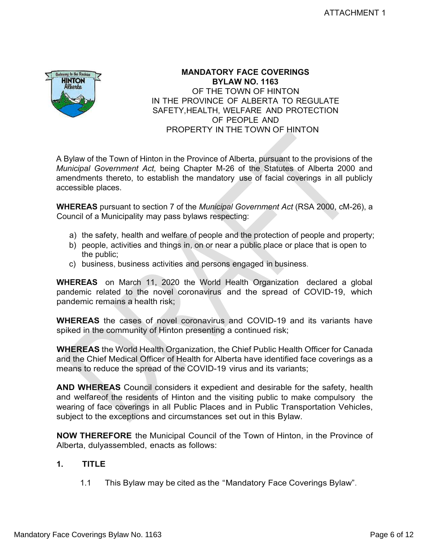

## **MANDATORY FACE COVERINGS BYLAW NO. 1163** OF THE TOWN OF HINTON IN THE PROVINCE OF ALBERTA TO REGULATE SAFETY, HEALTH, WELFARE AND PROTECTION OF PEOPLE AND PROPERTY IN THE TOWN OF HINTON

A Bylaw of the Town of Hinton in the Province of Alberta, pursuant to the provisions of the *Municipal Government Act,* being Chapter M-26 of the Statutes of Alberta 2000 and amendments thereto, to establish the mandatory use of facial coverings in all publicly accessible places.

**WHEREAS** pursuant to section 7 of the *Municipal Government Act* (RSA 2000, cM-26), a Council of a Municipality may pass bylaws respecting:

- a) the safety, health and welfare of people and the protection of people and property;
- b) people, activities and things in, on or near a public place or place that is open to the public;
- c) business, business activities and persons engaged in business.

**WHEREAS** on March 11, 2020 the World Health Organization declared a global pandemic related to the novel coronavirus and the spread of COVID-19, which pandemic remains a health risk;

**WHEREAS** the cases of novel coronavirus and COVID-19 and its variants have spiked in the community of Hinton presenting a continued risk;

**WHEREAS** the World Health Organization, the Chief Public Health Officer for Canada and the Chief Medical Officer of Health for Alberta have identified face coverings as a means to reduce the spread of the COVID-19 virus and its variants;

**AND WHEREAS** Council considers it expedient and desirable for the safety, health and welfareof the residents of Hinton and the visiting public to make compulsory the wearing of face coverings in all Public Places and in Public Transportation Vehicles, subject to the exceptions and circumstances set out in this Bylaw.

**NOW THEREFORE** the Municipal Council of the Town of Hinton, in the Province of Alberta, dulyassembled, enacts as follows:

## **1. TITLE**

1.1 This Bylaw may be cited as the "Mandatory Face Coverings Bylaw".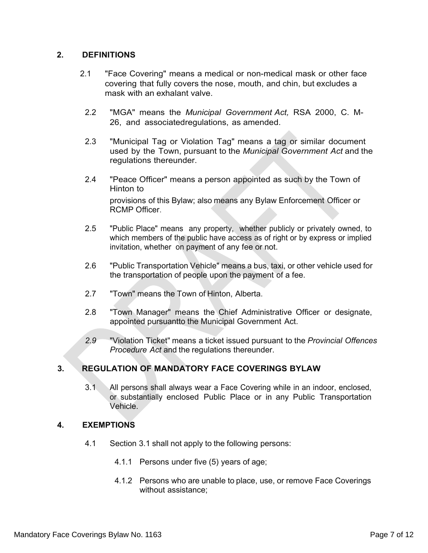## **2. DEFINITIONS**

- 2.1 "Face Covering" means a medical or non-medical mask or other face covering that fully covers the nose, mouth, and chin, but excludes a mask with an exhalant valve.
	- 2.2 "MGA" means the *Municipal Government Act,* RSA 2000, C. M-26, and associatedregulations, as amended.
	- 2.3 "Municipal Tag or Violation Tag" means a tag or similar document used by the Town, pursuant to the *Municipal Government Act* and the regulations thereunder.
	- 2.4 "Peace Officer" means a person appointed as such by the Town of Hinton to provisions of this Bylaw; also means any Bylaw Enforcement Officer or

RCMP Officer.

- 2.5 "Public Place" means any property, whether publicly or privately owned, to which members of the public have access as of right or by express or implied invitation, whether on payment of any fee or not.
- 2.6 "Public Transportation Vehicle" means a bus, taxi, or other vehicle used for the transportation of people upon the payment of a fee.
- 2.7 "Town" means the Town of Hinton, Alberta.
- 2.8 "Town Manager" means the Chief Administrative Officer or designate, appointed pursuantto the Municipal Government Act.
- *2.9* "Violation Ticket" means a ticket issued pursuant to the *Provincial Offences Procedure Act* and the regulations thereunder.

## **3. REGULATION OF MANDATORY FACE COVERINGS BYLAW**

3.1 All persons shall always wear a Face Covering while in an indoor, enclosed, or substantially enclosed Public Place or in any Public Transportation Vehicle.

## **4. EXEMPTIONS**

- 4.1 Section 3.1 shall not apply to the following persons:
	- 4.1.1 Persons under five (5) years of age;
	- 4.1.2 Persons who are unable to place, use, or remove Face Coverings without assistance;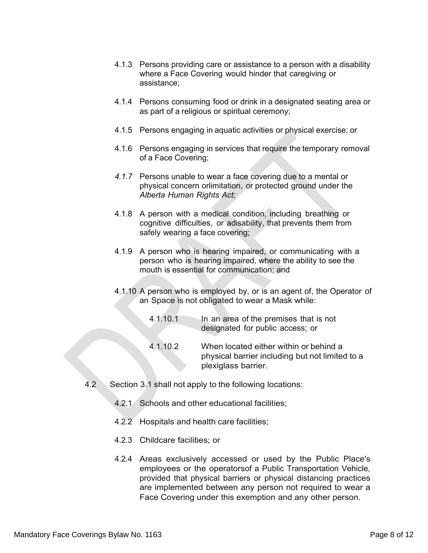- 4.1.3 Persons providing care or assistance to a person with a disability where a Face Covering would hinder that caregiving or assistance;
- 4.1.4 Persons consuming food or drink in a designated seating area or as part of a religious or spiritual ceremony;
- 4.1.5 Persons engaging in aquatic activities or physical exercise; or
- 4.1.6 Persons engaging in services that require the temporary removal of a Face Covering;
- *4.1.7* Persons unable to wear a face covering due to a mental or physical concern orlimitation, or protected ground under the *Alberta Human Rights Act;*
- 4.1.8 A person with a medical condition, including breathing or cognitive difficulties, or adisability, that prevents them from safely wearing a face covering;
- 4.1.9 A person who is hearing impaired, or communicating with a person who is hearing impaired, where the ability to see the mouth is essential for communication; and
- 4.1.10 A person who is employed by, or is an agent of, the Operator of an Space is not obligated to wear a Mask while:
	- 4.1.10.1 In an area of the premises that is not designated for public access; or
	- 4.1.10.2 When located either within or behind a physical barrier including but not limited to a plexiglass barrier.
- 4.2 Section 3.1 shall not apply to the following locations:
	- 4.2.1 Schools and other educational facilities;
	- 4.2.2 Hospitals and health care facilities;
	- 4.2.3 Childcare facilities; or
	- 4.2.4 Areas exclusively accessed or used by the Public Place's employees or the operatorsof a Public Transportation Vehicle, provided that physical barriers or physical distancing practices are implemented between any person not required to wear a Face Covering under this exemption and any other person.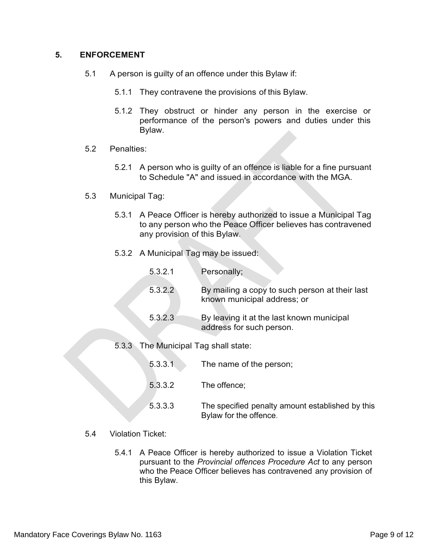## **5. ENFORCEMENT**

- 5.1 A person is guilty of an offence under this Bylaw if:
	- 5.1.1 They contravene the provisions of this Bylaw.
	- 5.1.2 They obstruct or hinder any person in the exercise or performance of the person's powers and duties under this Bylaw.
- 5.2 Penalties:
	- 5.2.1 A person who is guilty of an offence is liable for a fine pursuant to Schedule "A" and issued in accordance with the MGA.
- 5.3 Municipal Tag:
	- 5.3.1 A Peace Officer is hereby authorized to issue a Municipal Tag to any person who the Peace Officer believes has contravened any provision of this Bylaw.
	- 5.3.2 A Municipal Tag may be issued:

| 5.3.2.1 | Personally;                                                                   |
|---------|-------------------------------------------------------------------------------|
| 5.3.2.2 | By mailing a copy to such person at their last<br>known municipal address; or |
| 5.3.2.3 | By leaving it at the last known municipal<br>address for such person.         |

5.3.3 The Municipal Tag shall state:

- 5.3.3.1 The name of the person;
- 5.3.3.2 The offence;
- 5.3.3.3 The specified penalty amount established by this Bylaw for the offence.
- 5.4 Violation Ticket:
	- 5.4.1 A Peace Officer is hereby authorized to issue a Violation Ticket pursuant to the *Provincial offences Procedure Act* to any person who the Peace Officer believes has contravened any provision of this Bylaw.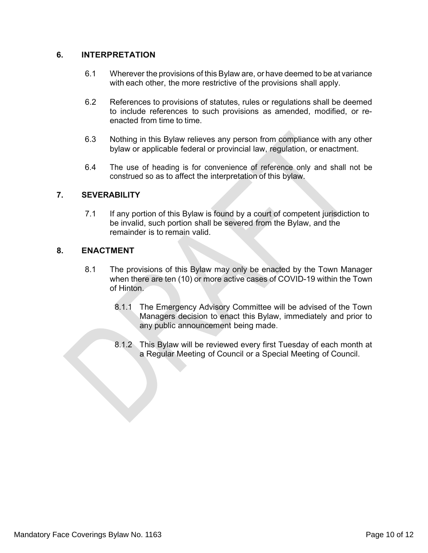## **6. INTERPRETATION**

- 6.1 Wherever the provisions of this Bylaw are, or have deemed to be at variance with each other, the more restrictive of the provisions shall apply.
- 6.2 References to provisions of statutes, rules or regulations shall be deemed to include references to such provisions as amended, modified, or reenacted from time to time.
- 6.3 Nothing in this Bylaw relieves any person from compliance with any other bylaw or applicable federal or provincial law, regulation, or enactment.
- 6.4 The use of heading is for convenience of reference only and shall not be construed so as to affect the interpretation of this bylaw.

## **7. SEVERABILITY**

7.1 If any portion of this Bylaw is found by a court of competent jurisdiction to be invalid, such portion shall be severed from the Bylaw, and the remainder is to remain valid.

## **8. ENACTMENT**

- 8.1 The provisions of this Bylaw may only be enacted by the Town Manager when there are ten (10) or more active cases of COVID-19 within the Town of Hinton.
	- 8.1.1 The Emergency Advisory Committee will be advised of the Town Managers decision to enact this Bylaw, immediately and prior to any public announcement being made.
	- 8.1.2 This Bylaw will be reviewed every first Tuesday of each month at a Regular Meeting of Council or a Special Meeting of Council.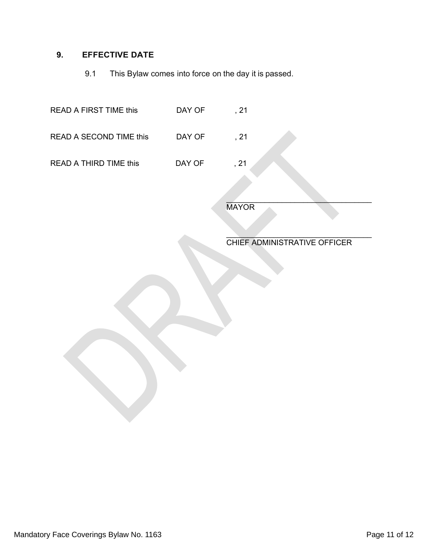## **9. EFFECTIVE DATE**

9.1 This Bylaw comes into force on the day it is passed.

| <b>READ A FIRST TIME this</b> | DAY OF | , 21 |
|-------------------------------|--------|------|
| READ A SECOND TIME this       | DAY OF | , 21 |
| <b>READ A THIRD TIME this</b> | DAY OF | , 21 |
|                               |        |      |

**MAYOR** 

 $\mathcal{L}_\text{max}$  , where  $\mathcal{L}_\text{max}$  and  $\mathcal{L}_\text{max}$  and  $\mathcal{L}_\text{max}$ CHIEF ADMINISTRATIVE OFFICER